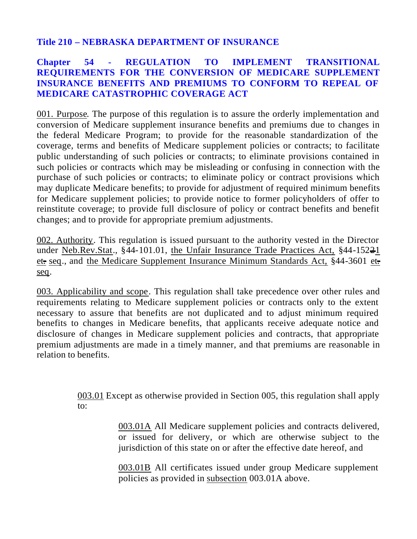## **Title 210 – NEBRASKA DEPARTMENT OF INSURANCE**

## **Chapter 54 - REGULATION TO IMPLEMENT TRANSITIONAL REQUIREMENTS FOR THE CONVERSION OF MEDICARE SUPPLEMENT INSURANCE BENEFITS AND PREMIUMS TO CONFORM TO REPEAL OF MEDICARE CATASTROPHIC COVERAGE ACT**

001. Purpose. The purpose of this regulation is to assure the orderly implementation and conversion of Medicare supplement insurance benefits and premiums due to changes in the federal Medicare Program; to provide for the reasonable standardization of the coverage, terms and benefits of Medicare supplement policies or contracts; to facilitate public understanding of such policies or contracts; to eliminate provisions contained in such policies or contracts which may be misleading or confusing in connection with the purchase of such policies or contracts; to eliminate policy or contract provisions which may duplicate Medicare benefits; to provide for adjustment of required minimum benefits for Medicare supplement policies; to provide notice to former policyholders of offer to reinstitute coverage; to provide full disclosure of policy or contract benefits and benefit changes; and to provide for appropriate premium adjustments.

002. Authority. This regulation is issued pursuant to the authority vested in the Director under Neb.Rev.Stat., §44-101.01, the Unfair Insurance Trade Practices Act, §44-152<del>2</del>1 et. seq., and the Medicare Supplement Insurance Minimum Standards Act, §44-3601 et. seq.

003. Applicability and scope. This regulation shall take precedence over other rules and requirements relating to Medicare supplement policies or contracts only to the extent necessary to assure that benefits are not duplicated and to adjust minimum required benefits to changes in Medicare benefits, that applicants receive adequate notice and disclosure of changes in Medicare supplement policies and contracts, that appropriate premium adjustments are made in a timely manner, and that premiums are reasonable in relation to benefits.

> 003.01 Except as otherwise provided in Section 005, this regulation shall apply to:

> > 003.01A All Medicare supplement policies and contracts delivered, or issued for delivery, or which are otherwise subject to the jurisdiction of this state on or after the effective date hereof, and

> > 003.01B All certificates issued under group Medicare supplement policies as provided in subsection 003.01A above.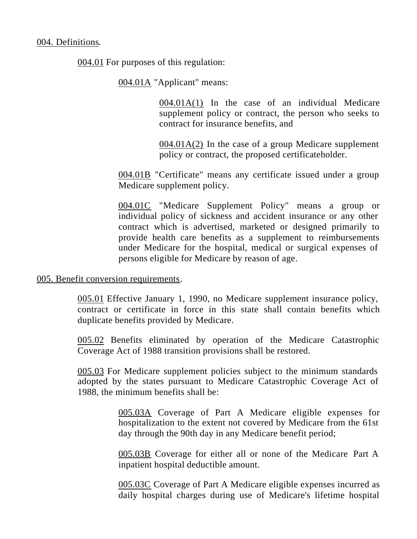004.01 For purposes of this regulation:

004.01A "Applicant" means:

004.01A(1) In the case of an individual Medicare supplement policy or contract, the person who seeks to contract for insurance benefits, and

004.01A(2) In the case of a group Medicare supplement policy or contract, the proposed certificateholder.

004.01B "Certificate" means any certificate issued under a group Medicare supplement policy.

004.01C "Medicare Supplement Policy" means a group or individual policy of sickness and accident insurance or any other contract which is advertised, marketed or designed primarily to provide health care benefits as a supplement to reimbursements under Medicare for the hospital, medical or surgical expenses of persons eligible for Medicare by reason of age.

#### 005. Benefit conversion requirements.

005.01 Effective January 1, 1990, no Medicare supplement insurance policy, contract or certificate in force in this state shall contain benefits which duplicate benefits provided by Medicare.

005.02 Benefits eliminated by operation of the Medicare Catastrophic Coverage Act of 1988 transition provisions shall be restored.

005.03 For Medicare supplement policies subject to the minimum standards adopted by the states pursuant to Medicare Catastrophic Coverage Act of 1988, the minimum benefits shall be:

> 005.03A Coverage of Part A Medicare eligible expenses for hospitalization to the extent not covered by Medicare from the 61st day through the 90th day in any Medicare benefit period;

> 005.03B Coverage for either all or none of the Medicare Part A inpatient hospital deductible amount.

> 005.03C Coverage of Part A Medicare eligible expenses incurred as daily hospital charges during use of Medicare's lifetime hospital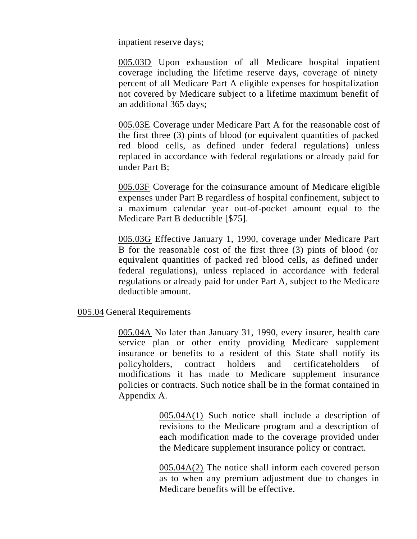inpatient reserve days;

005.03D Upon exhaustion of all Medicare hospital inpatient coverage including the lifetime reserve days, coverage of ninety percent of all Medicare Part A eligible expenses for hospitalization not covered by Medicare subject to a lifetime maximum benefit of an additional 365 days;

005.03E Coverage under Medicare Part A for the reasonable cost of the first three (3) pints of blood (or equivalent quantities of packed red blood cells, as defined under federal regulations) unless replaced in accordance with federal regulations or already paid for under Part B;

005.03F Coverage for the coinsurance amount of Medicare eligible expenses under Part B regardless of hospital confinement, subject to a maximum calendar year out-of-pocket amount equal to the Medicare Part B deductible [\$75].

005.03G Effective January 1, 1990, coverage under Medicare Part B for the reasonable cost of the first three (3) pints of blood (or equivalent quantities of packed red blood cells, as defined under federal regulations), unless replaced in accordance with federal regulations or already paid for under Part A, subject to the Medicare deductible amount.

005.04 General Requirements

005.04A No later than January 31, 1990, every insurer, health care service plan or other entity providing Medicare supplement insurance or benefits to a resident of this State shall notify its policyholders, contract holders and certificateholders of modifications it has made to Medicare supplement insurance policies or contracts. Such notice shall be in the format contained in Appendix A.

> 005.04A(1) Such notice shall include a description of revisions to the Medicare program and a description of each modification made to the coverage provided under the Medicare supplement insurance policy or contract.

> 005.04A(2) The notice shall inform each covered person as to when any premium adjustment due to changes in Medicare benefits will be effective.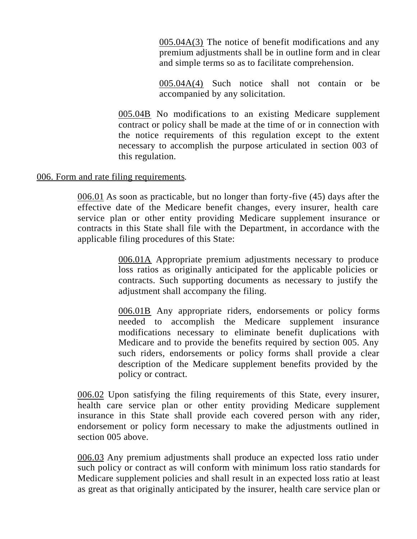005.04A(3) The notice of benefit modifications and any premium adjustments shall be in outline form and in clear and simple terms so as to facilitate comprehension.

005.04A(4) Such notice shall not contain or be accompanied by any solicitation.

005.04B No modifications to an existing Medicare supplement contract or policy shall be made at the time of or in connection with the notice requirements of this regulation except to the extent necessary to accomplish the purpose articulated in section 003 of this regulation.

### 006. Form and rate filing requirements.

006.01 As soon as practicable, but no longer than forty-five (45) days after the effective date of the Medicare benefit changes, every insurer, health care service plan or other entity providing Medicare supplement insurance or contracts in this State shall file with the Department, in accordance with the applicable filing procedures of this State:

> 006.01A Appropriate premium adjustments necessary to produce loss ratios as originally anticipated for the applicable policies or contracts. Such supporting documents as necessary to justify the adjustment shall accompany the filing.

> 006.01B Any appropriate riders, endorsements or policy forms needed to accomplish the Medicare supplement insurance modifications necessary to eliminate benefit duplications with Medicare and to provide the benefits required by section 005. Any such riders, endorsements or policy forms shall provide a clear description of the Medicare supplement benefits provided by the policy or contract.

006.02 Upon satisfying the filing requirements of this State, every insurer, health care service plan or other entity providing Medicare supplement insurance in this State shall provide each covered person with any rider, endorsement or policy form necessary to make the adjustments outlined in section 005 above.

006.03 Any premium adjustments shall produce an expected loss ratio under such policy or contract as will conform with minimum loss ratio standards for Medicare supplement policies and shall result in an expected loss ratio at least as great as that originally anticipated by the insurer, health care service plan or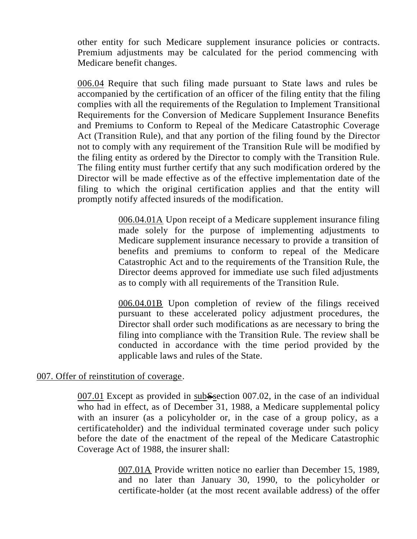other entity for such Medicare supplement insurance policies or contracts. Premium adjustments may be calculated for the period commencing with Medicare benefit changes.

006.04 Require that such filing made pursuant to State laws and rules be accompanied by the certification of an officer of the filing entity that the filing complies with all the requirements of the Regulation to Implement Transitional Requirements for the Conversion of Medicare Supplement Insurance Benefits and Premiums to Conform to Repeal of the Medicare Catastrophic Coverage Act (Transition Rule), and that any portion of the filing found by the Director not to comply with any requirement of the Transition Rule will be modified by the filing entity as ordered by the Director to comply with the Transition Rule. The filing entity must further certify that any such modification ordered by the Director will be made effective as of the effective implementation date of the filing to which the original certification applies and that the entity will promptly notify affected insureds of the modification.

> 006.04.01A Upon receipt of a Medicare supplement insurance filing made solely for the purpose of implementing adjustments to Medicare supplement insurance necessary to provide a transition of benefits and premiums to conform to repeal of the Medicare Catastrophic Act and to the requirements of the Transition Rule, the Director deems approved for immediate use such filed adjustments as to comply with all requirements of the Transition Rule.

> 006.04.01B Upon completion of review of the filings received pursuant to these accelerated policy adjustment procedures, the Director shall order such modifications as are necessary to bring the filing into compliance with the Transition Rule. The review shall be conducted in accordance with the time period provided by the applicable laws and rules of the State.

#### 007. Offer of reinstitution of coverage.

007.01 Except as provided in subSsection 007.02, in the case of an individual who had in effect, as of December 31, 1988, a Medicare supplemental policy with an insurer (as a policyholder or, in the case of a group policy, as a certificateholder) and the individual terminated coverage under such policy before the date of the enactment of the repeal of the Medicare Catastrophic Coverage Act of 1988, the insurer shall:

> 007.01A Provide written notice no earlier than December 15, 1989, and no later than January 30, 1990, to the policyholder or certificate-holder (at the most recent available address) of the offer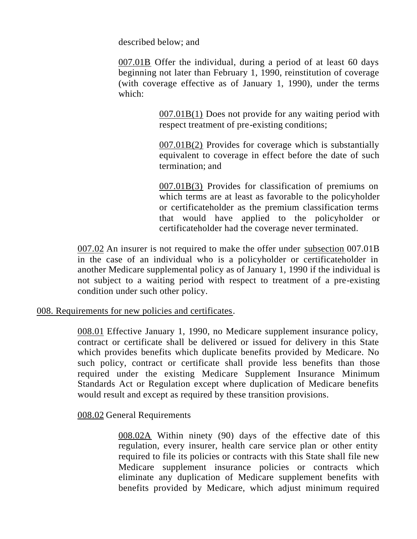described below; and

007.01B Offer the individual, during a period of at least 60 days beginning not later than February 1, 1990, reinstitution of coverage (with coverage effective as of January 1, 1990), under the terms which:

> 007.01B(1) Does not provide for any waiting period with respect treatment of pre-existing conditions;

> 007.01B(2) Provides for coverage which is substantially equivalent to coverage in effect before the date of such termination; and

> 007.01B(3) Provides for classification of premiums on which terms are at least as favorable to the policyholder or certificateholder as the premium classification terms that would have applied to the policyholder or certificateholder had the coverage never terminated.

007.02 An insurer is not required to make the offer under subsection 007.01B in the case of an individual who is a policyholder or certificateholder in another Medicare supplemental policy as of January 1, 1990 if the individual is not subject to a waiting period with respect to treatment of a pre-existing condition under such other policy.

008. Requirements for new policies and certificates.

008.01 Effective January 1, 1990, no Medicare supplement insurance policy, contract or certificate shall be delivered or issued for delivery in this State which provides benefits which duplicate benefits provided by Medicare. No such policy, contract or certificate shall provide less benefits than those required under the existing Medicare Supplement Insurance Minimum Standards Act or Regulation except where duplication of Medicare benefits would result and except as required by these transition provisions.

008.02 General Requirements

008.02A Within ninety (90) days of the effective date of this regulation, every insurer, health care service plan or other entity required to file its policies or contracts with this State shall file new Medicare supplement insurance policies or contracts which eliminate any duplication of Medicare supplement benefits with benefits provided by Medicare, which adjust minimum required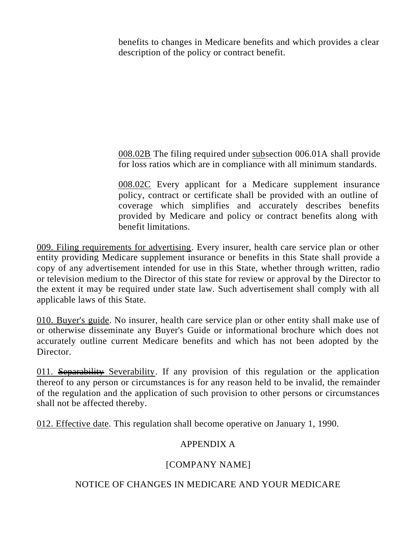benefits to changes in Medicare benefits and which provides a clear description of the policy or contract benefit.

008.02B The filing required under subsection 006.01A shall provide for loss ratios which are in compliance with all minimum standards.

008.02C Every applicant for a Medicare supplement insurance policy, contract or certificate shall be provided with an outline of coverage which simplifies and accurately describes benefits provided by Medicare and policy or contract benefits along with benefit limitations.

009. Filing requirements for advertising. Every insurer, health care service plan or other entity providing Medicare supplement insurance or benefits in this State shall provide a copy of any advertisement intended for use in this State, whether through written, radio or television medium to the Director of this state for review or approval by the Director to the extent it may be required under state law. Such advertisement shall comply with all applicable laws of this State.

010. Buyer's guide. No insurer, health care service plan or other entity shall make use of or otherwise disseminate any Buyer's Guide or informational brochure which does not accurately outline current Medicare benefits and which has not been adopted by the Director.

011. Separability Severability. If any provision of this regulation or the application thereof to any person or circumstances is for any reason held to be invalid, the remainder of the regulation and the application of such provision to other persons or circumstances shall not be affected thereby.

012. Effective date. This regulation shall become operative on January 1, 1990.

## APPENDIX A

## [COMPANY NAME]

## NOTICE OF CHANGES IN MEDICARE AND YOUR MEDICARE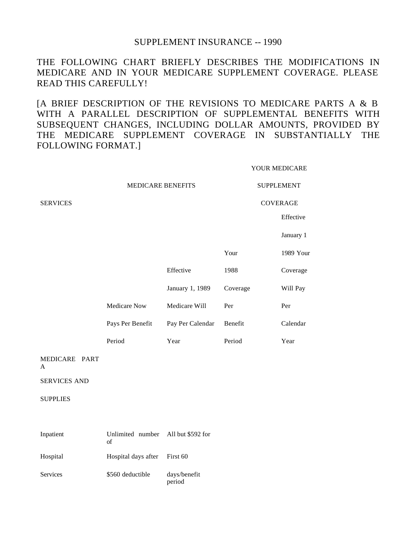#### SUPPLEMENT INSURANCE -- 1990

THE FOLLOWING CHART BRIEFLY DESCRIBES THE MODIFICATIONS IN MEDICARE AND IN YOUR MEDICARE SUPPLEMENT COVERAGE. PLEASE READ THIS CAREFULLY!

[A BRIEF DESCRIPTION OF THE REVISIONS TO MEDICARE PARTS A & B WITH A PARALLEL DESCRIPTION OF SUPPLEMENTAL BENEFITS WITH SUBSEQUENT CHANGES, INCLUDING DOLLAR AMOUNTS, PROVIDED BY THE MEDICARE SUPPLEMENT COVERAGE IN SUBSTANTIALLY THE FOLLOWING FORMAT.]

YOUR MEDICARE

|                     | MEDICARE BENEFITS      |                        | <b>SUPPLEMENT</b> |           |
|---------------------|------------------------|------------------------|-------------------|-----------|
| <b>SERVICES</b>     |                        |                        | <b>COVERAGE</b>   |           |
|                     |                        |                        |                   | Effective |
|                     |                        |                        |                   | January 1 |
|                     |                        |                        | Your              | 1989 Your |
|                     |                        | Effective              | 1988              | Coverage  |
|                     |                        | January 1, 1989        | Coverage          | Will Pay  |
|                     | Medicare Now           | Medicare Will          | Per               | Per       |
|                     | Pays Per Benefit       | Pay Per Calendar       | Benefit           | Calendar  |
|                     | Period                 | Year                   | Period            | Year      |
| MEDICARE PART<br>A  |                        |                        |                   |           |
| <b>SERVICES AND</b> |                        |                        |                   |           |
| <b>SUPPLIES</b>     |                        |                        |                   |           |
|                     |                        |                        |                   |           |
| Inpatient           | Unlimited number<br>of | All but \$592 for      |                   |           |
| Hospital            | Hospital days after    | First 60               |                   |           |
| <b>Services</b>     | \$560 deductible       | days/benefit<br>period |                   |           |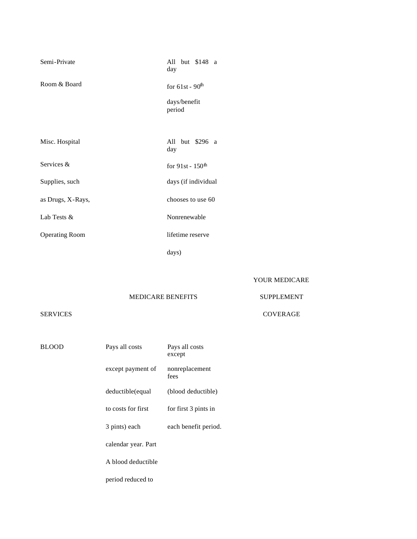| Semi-Private          | All but \$148 a<br>day    |
|-----------------------|---------------------------|
| Room & Board          | for $61st - 90th$         |
|                       | days/benefit<br>period    |
|                       |                           |
| Misc. Hospital        | but \$296 a<br>All<br>day |
| Services &            | for $91st - 150th$        |
| Supplies, such        | days (if individual       |
| as Drugs, X-Rays,     | chooses to use 60         |
| Lab Tests &           | Nonrenewable              |
| <b>Operating Room</b> | lifetime reserve          |
|                       |                           |

days)

YOUR MEDICARE

#### MEDICARE BENEFITS

# SUPPLEMENT COVERAGE

#### SERVICES

BLOOD Pays all costs Pays all costs except except payment of nonreplacement fees deductible(equal (blood deductible) to costs for first for first 3 pints in 3 pints) each each benefit period. calendar year. Part A blood deductible

period reduced to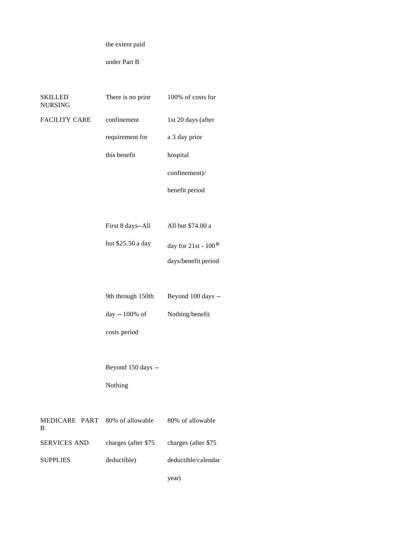the extent paid

under Part B

| SKILLED<br><b>NURSING</b>           | There is no prior   | 100% of costs for                  |
|-------------------------------------|---------------------|------------------------------------|
| <b>FACILITY CARE</b>                | confinement         | 1st 20 days (after                 |
|                                     | requirement for     | a 3 day prior                      |
|                                     | this benefit        | hospital                           |
|                                     |                     | confinement)/                      |
|                                     |                     | benefit period                     |
|                                     |                     |                                    |
|                                     | First 8 days--All   | All but \$74.00 a                  |
|                                     | but \$25.50 a day   | day for $21st - 100$ <sup>th</sup> |
|                                     |                     | days/benefit period                |
|                                     |                     |                                    |
|                                     | 9th through 150th   | Beyond 100 days --                 |
|                                     | day -- 100% of      | Nothing/benefit                    |
|                                     | costs period        |                                    |
|                                     |                     |                                    |
|                                     | Beyond 150 days --  |                                    |
|                                     | Nothing             |                                    |
|                                     |                     |                                    |
| MEDICARE PART 80% of allowable<br>B |                     | 80% of allowable                   |
| <b>SERVICES AND</b>                 | charges (after \$75 | charges (after \$75                |
| <b>SUPPLIES</b>                     | deductible)         | deductible/calendar                |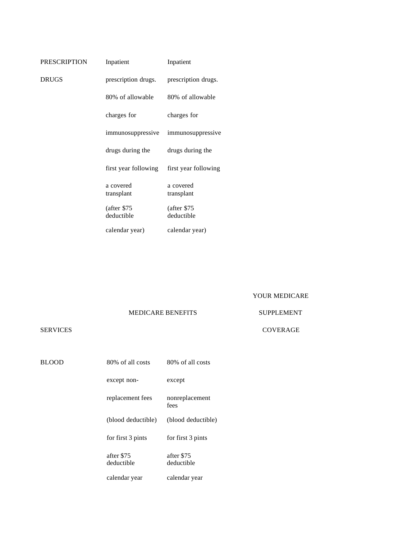| <b>PRESCRIPTION</b> | Inpatient                  | Inpatient                  |
|---------------------|----------------------------|----------------------------|
| <b>DRUGS</b>        | prescription drugs.        | prescription drugs.        |
|                     | 80% of allowable           | 80% of allowable           |
|                     | charges for                | charges for                |
|                     | immunosuppressive          | immunosuppressive          |
|                     | drugs during the           | drugs during the           |
|                     | first year following       | first year following       |
|                     | a covered<br>transplant    | a covered<br>transplant    |
|                     | (after \$75)<br>deductible | (after \$75)<br>deductible |

calendar year) calendar year)

YOUR MEDICARE

SUPPLEMENT

MEDICARE BENEFITS

#### SERVICES

| BLOOD | 80% of all costs         | 80% of all costs         |
|-------|--------------------------|--------------------------|
|       | except non-              | except                   |
|       | replacement fees         | nonreplacement<br>fees   |
|       | (blood deductible)       | (blood deductible)       |
|       | for first 3 pints        | for first 3 pints        |
|       | after \$75<br>deductible | after \$75<br>deductible |
|       | calendar year            | calendar year            |

COVERAGE